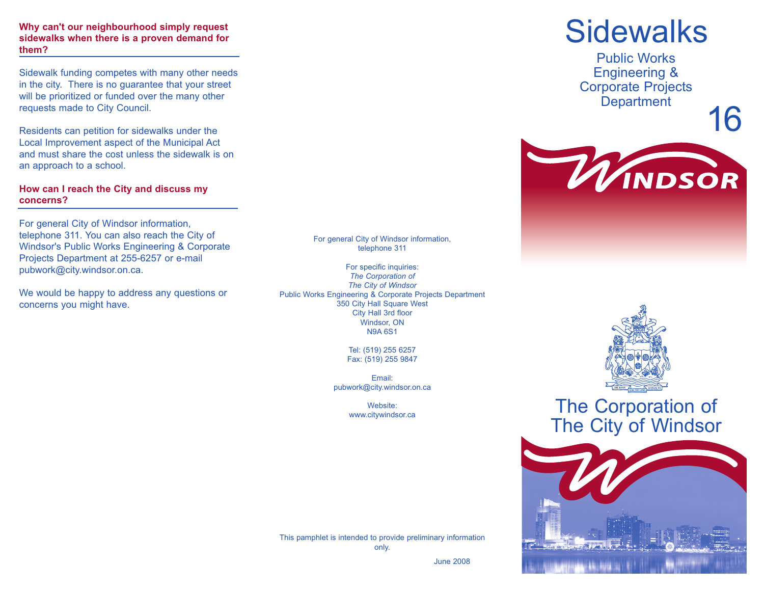#### **Why can't our neighbourhood simply request sidewalks when there is a proven demand for them?**

Sidewalk funding competes with many other needs in the city. There is no guarantee that your street will be prioritized or funded over the many other requests made to City Council.

Residents can petition for sidewalks under the Local Improvement aspect of the Municipal Act and must share the cost unless the sidewalk is on an approach to a school.

### **How can I reach the City and discuss my concerns?**

For general City of Windsor information, telephone 311. You can also reach the City of Windsor's Public Works Engineering & Corporate Projects Department at 255-6257 or e-mail pubwork@city.windsor.on.ca.

We would be happy to address any questions or concerns you might have.

For general City of Windsor information, telephone 311

For specific inquiries: *The Corporation of The City of Windsor* Public Works Engineering & Corporate Projects Department 350 City Hall Square West City Hall 3rd floor Windsor, ON N9A 6S1

> Tel: (519) 255 6257 Fax: (519) 255 9847

Email: pubwork@city.windsor.on.ca

> Website: www.citywindsor.ca

This pamphlet is intended to provide preliminary information

only.

June 2008

# **Sidewalks**

Public Works Engineering & Corporate Projects **Department** 

16





## The Corporation of The City of Windsor